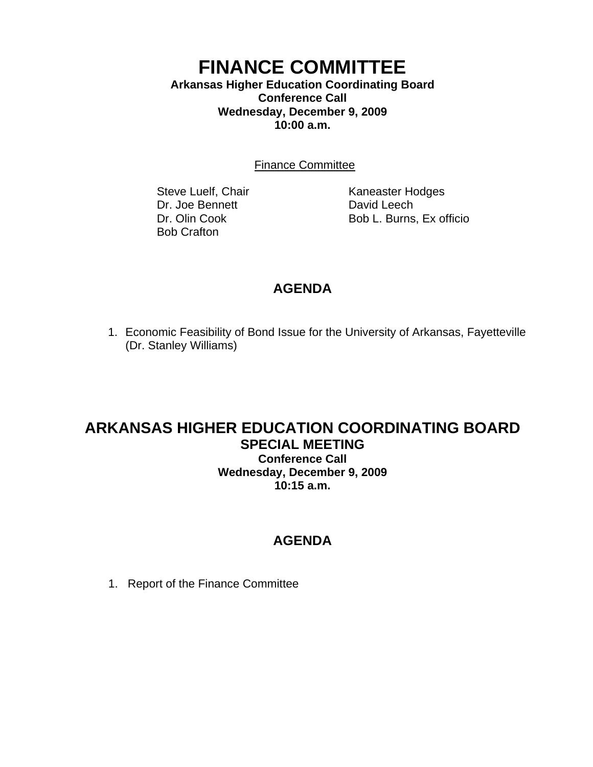### **FINANCE COMMITTEE Arkansas Higher Education Coordinating Board Conference Call Wednesday, December 9, 2009 10:00 a.m.**

Finance Committee

Dr. Joe Bennett David Leech Bob Crafton

Steve Luelf, Chair Kaneaster Hodges Dr. Olin Cook Bob L. Burns, Ex officio

## **AGENDA**

1. Economic Feasibility of Bond Issue for the University of Arkansas, Fayetteville (Dr. Stanley Williams)

### **ARKANSAS HIGHER EDUCATION COORDINATING BOARD SPECIAL MEETING Conference Call Wednesday, December 9, 2009**

**10:15 a.m.**

# **AGENDA**

1. Report of the Finance Committee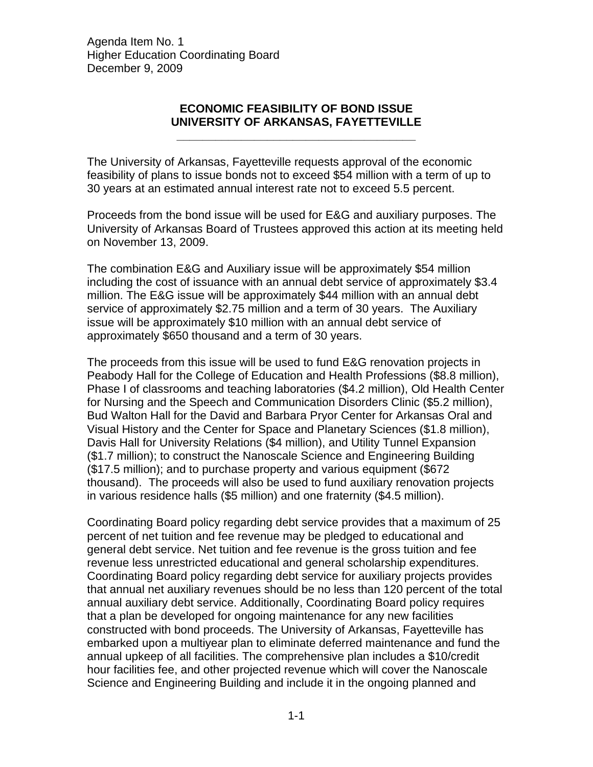Agenda Item No. 1 Higher Education Coordinating Board December 9, 2009

#### **ECONOMIC FEASIBILITY OF BOND ISSUE UNIVERSITY OF ARKANSAS, FAYETTEVILLE**

**\_\_\_\_\_\_\_\_\_\_\_\_\_\_\_\_\_\_\_\_\_\_\_\_\_\_\_\_\_\_\_\_\_\_\_\_\_** 

The University of Arkansas, Fayetteville requests approval of the economic feasibility of plans to issue bonds not to exceed \$54 million with a term of up to 30 years at an estimated annual interest rate not to exceed 5.5 percent.

Proceeds from the bond issue will be used for E&G and auxiliary purposes. The University of Arkansas Board of Trustees approved this action at its meeting held on November 13, 2009.

The combination E&G and Auxiliary issue will be approximately \$54 million including the cost of issuance with an annual debt service of approximately \$3.4 million. The E&G issue will be approximately \$44 million with an annual debt service of approximately \$2.75 million and a term of 30 years. The Auxiliary issue will be approximately \$10 million with an annual debt service of approximately \$650 thousand and a term of 30 years.

The proceeds from this issue will be used to fund E&G renovation projects in Peabody Hall for the College of Education and Health Professions (\$8.8 million), Phase I of classrooms and teaching laboratories (\$4.2 million), Old Health Center for Nursing and the Speech and Communication Disorders Clinic (\$5.2 million), Bud Walton Hall for the David and Barbara Pryor Center for Arkansas Oral and Visual History and the Center for Space and Planetary Sciences (\$1.8 million), Davis Hall for University Relations (\$4 million), and Utility Tunnel Expansion (\$1.7 million); to construct the Nanoscale Science and Engineering Building (\$17.5 million); and to purchase property and various equipment (\$672 thousand). The proceeds will also be used to fund auxiliary renovation projects in various residence halls (\$5 million) and one fraternity (\$4.5 million).

Coordinating Board policy regarding debt service provides that a maximum of 25 percent of net tuition and fee revenue may be pledged to educational and general debt service. Net tuition and fee revenue is the gross tuition and fee revenue less unrestricted educational and general scholarship expenditures. Coordinating Board policy regarding debt service for auxiliary projects provides that annual net auxiliary revenues should be no less than 120 percent of the total annual auxiliary debt service. Additionally, Coordinating Board policy requires that a plan be developed for ongoing maintenance for any new facilities constructed with bond proceeds. The University of Arkansas, Fayetteville has embarked upon a multiyear plan to eliminate deferred maintenance and fund the annual upkeep of all facilities. The comprehensive plan includes a \$10/credit hour facilities fee, and other projected revenue which will cover the Nanoscale Science and Engineering Building and include it in the ongoing planned and